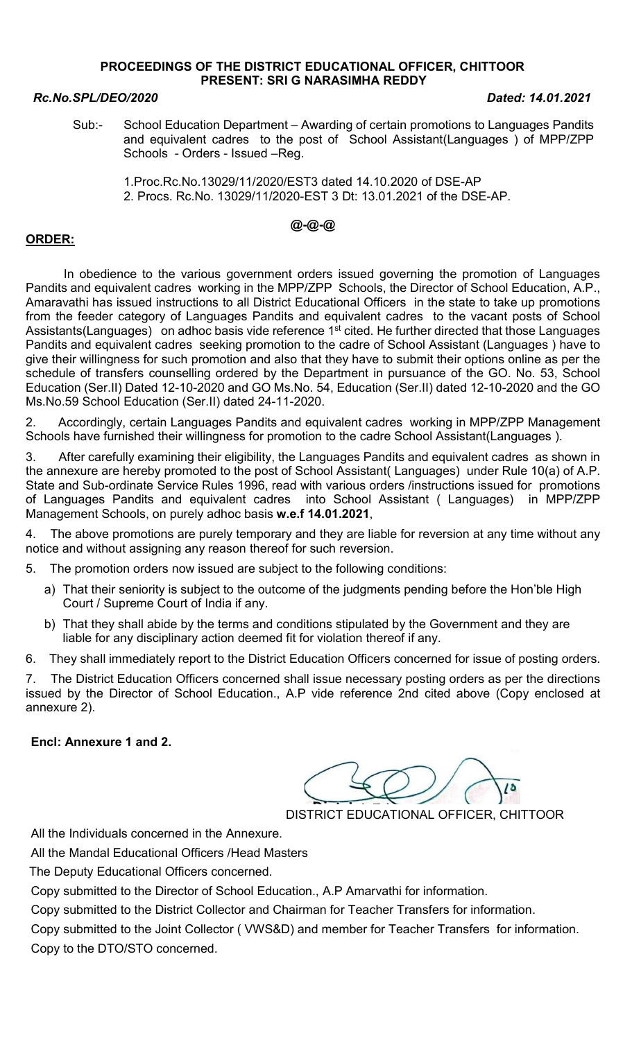### PROCEEDINGS OF THE DISTRICT EDUCATIONAL OFFICER, CHITTOOR PRESENT: SRI G NARASIMHA REDDY

### Rc.No.SPL/DEO/2020 Dated: 14.01.2021

Sub:- School Education Department – Awarding of certain promotions to Languages Pandits and equivalent cadres to the post of School Assistant(Languages ) of MPP/ZPP Schools - Orders - Issued –Reg.

 1.Proc.Rc.No.13029/11/2020/EST3 dated 14.10.2020 of DSE-AP 2. Procs. Rc.No. 13029/11/2020-EST 3 Dt: 13.01.2021 of the DSE-AP.

# @-@-@

## ORDER:

 In obedience to the various government orders issued governing the promotion of Languages Pandits and equivalent cadres working in the MPP/ZPP Schools, the Director of School Education, A.P., Amaravathi has issued instructions to all District Educational Officers in the state to take up promotions from the feeder category of Languages Pandits and equivalent cadres to the vacant posts of School Assistants(Languages) on adhoc basis vide reference 1<sup>st</sup> cited. He further directed that those Languages Pandits and equivalent cadres seeking promotion to the cadre of School Assistant (Languages ) have to give their willingness for such promotion and also that they have to submit their options online as per the schedule of transfers counselling ordered by the Department in pursuance of the GO. No. 53, School Education (Ser.II) Dated 12-10-2020 and GO Ms.No. 54, Education (Ser.II) dated 12-10-2020 and the GO Ms.No.59 School Education (Ser.II) dated 24-11-2020.

2. Accordingly, certain Languages Pandits and equivalent cadres working in MPP/ZPP Management Schools have furnished their willingness for promotion to the cadre School Assistant(Languages ).

3. After carefully examining their eligibility, the Languages Pandits and equivalent cadres as shown in the annexure are hereby promoted to the post of School Assistant( Languages) under Rule 10(a) of A.P. State and Sub-ordinate Service Rules 1996, read with various orders /instructions issued for promotions of Languages Pandits and equivalent cadres into School Assistant ( Languages) in MPP/ZPP Management Schools, on purely adhoc basis w.e.f 14.01.2021,

4. The above promotions are purely temporary and they are liable for reversion at any time without any notice and without assigning any reason thereof for such reversion.

5. The promotion orders now issued are subject to the following conditions:

- a) That their seniority is subject to the outcome of the judgments pending before the Hon'ble High Court / Supreme Court of India if any.
- b) That they shall abide by the terms and conditions stipulated by the Government and they are liable for any disciplinary action deemed fit for violation thereof if any.

6. They shall immediately report to the District Education Officers concerned for issue of posting orders.

7. The District Education Officers concerned shall issue necessary posting orders as per the directions issued by the Director of School Education., A.P vide reference 2nd cited above (Copy enclosed at annexure 2).

### Encl: Annexure 1 and 2.

DISTRICT EDUCATIONAL OFFICER, CHITTOOR

All the Individuals concerned in the Annexure.

All the Mandal Educational Officers /Head Masters

The Deputy Educational Officers concerned.

Copy submitted to the Director of School Education., A.P Amarvathi for information.

Copy submitted to the District Collector and Chairman for Teacher Transfers for information.

Copy submitted to the Joint Collector ( VWS&D) and member for Teacher Transfers for information. Copy to the DTO/STO concerned.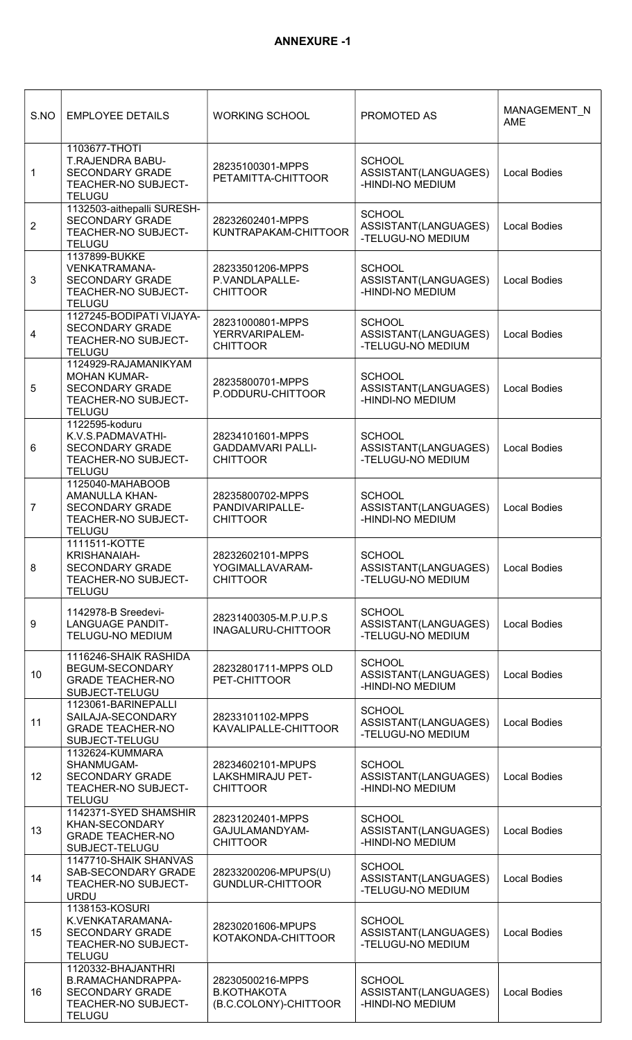| S.NO             | <b>EMPLOYEE DETAILS</b>                                                                                       | <b>WORKING SCHOOL</b>                                           | PROMOTED AS                                                | MANAGEMENT_N<br>AME |
|------------------|---------------------------------------------------------------------------------------------------------------|-----------------------------------------------------------------|------------------------------------------------------------|---------------------|
| 1                | 1103677-THOTI<br>T.RAJENDRA BABU-<br><b>SECONDARY GRADE</b><br>TEACHER-NO SUBJECT-<br><b>TELUGU</b>           | 28235100301-MPPS<br>PETAMITTA-CHITTOOR                          | <b>SCHOOL</b><br>ASSISTANT(LANGUAGES)<br>-HINDI-NO MEDIUM  | <b>Local Bodies</b> |
| 2                | 1132503-aithepalli SURESH-<br><b>SECONDARY GRADE</b><br>TEACHER-NO SUBJECT-<br><b>TELUGU</b>                  | 28232602401-MPPS<br>KUNTRAPAKAM-CHITTOOR                        | <b>SCHOOL</b><br>ASSISTANT(LANGUAGES)<br>-TELUGU-NO MEDIUM | <b>Local Bodies</b> |
| 3                | 1137899-BUKKE<br><b>VENKATRAMANA-</b><br><b>SECONDARY GRADE</b><br>TEACHER-NO SUBJECT-<br><b>TELUGU</b>       | 28233501206-MPPS<br>P.VANDLAPALLE-<br><b>CHITTOOR</b>           | <b>SCHOOL</b><br>ASSISTANT(LANGUAGES)<br>-HINDI-NO MEDIUM  | <b>Local Bodies</b> |
| 4                | 1127245-BODIPATI VIJAYA-<br><b>SECONDARY GRADE</b><br>TEACHER-NO SUBJECT-<br><b>TELUGU</b>                    | 28231000801-MPPS<br>YERRVARIPALEM-<br><b>CHITTOOR</b>           | <b>SCHOOL</b><br>ASSISTANT(LANGUAGES)<br>-TELUGU-NO MEDIUM | <b>Local Bodies</b> |
| 5                | 1124929-RAJAMANIKYAM<br><b>MOHAN KUMAR-</b><br><b>SECONDARY GRADE</b><br>TEACHER-NO SUBJECT-<br><b>TELUGU</b> | 28235800701-MPPS<br>P.ODDURU-CHITTOOR                           | <b>SCHOOL</b><br>ASSISTANT(LANGUAGES)<br>-HINDI-NO MEDIUM  | <b>Local Bodies</b> |
| 6                | 1122595-koduru<br>K.V.S.PADMAVATHI-<br><b>SECONDARY GRADE</b><br>TEACHER-NO SUBJECT-<br><b>TELUGU</b>         | 28234101601-MPPS<br><b>GADDAMVARI PALLI-</b><br><b>CHITTOOR</b> | <b>SCHOOL</b><br>ASSISTANT(LANGUAGES)<br>-TELUGU-NO MEDIUM | <b>Local Bodies</b> |
| $\overline{7}$   | 1125040-MAHABOOB<br><b>AMANULLA KHAN-</b><br><b>SECONDARY GRADE</b><br>TEACHER-NO SUBJECT-<br><b>TELUGU</b>   | 28235800702-MPPS<br>PANDIVARIPALLE-<br><b>CHITTOOR</b>          | <b>SCHOOL</b><br>ASSISTANT(LANGUAGES)<br>-HINDI-NO MEDIUM  | <b>Local Bodies</b> |
| 8                | 1111511-KOTTE<br>KRISHANAIAH-<br><b>SECONDARY GRADE</b><br>TEACHER-NO SUBJECT-<br><b>TELUGU</b>               | 28232602101-MPPS<br>YOGIMALLAVARAM-<br><b>CHITTOOR</b>          | <b>SCHOOL</b><br>ASSISTANT(LANGUAGES)<br>-TELUGU-NO MEDIUM | <b>Local Bodies</b> |
| $\boldsymbol{9}$ | 1142978-B Sreedevi-<br><b>LANGUAGE PANDIT-</b><br><b>TELUGU-NO MEDIUM</b>                                     | 28231400305-M.P.U.P.S<br>INAGALURU-CHITTOOR                     | <b>SCHOOL</b><br>ASSISTANT(LANGUAGES)<br>-TELUGU-NO MEDIUM | <b>Local Bodies</b> |
| 10               | 1116246-SHAIK RASHIDA<br>BEGUM-SECONDARY<br><b>GRADE TEACHER-NO</b><br>SUBJECT-TELUGU                         | 28232801711-MPPS OLD<br>PET-CHITTOOR                            | <b>SCHOOL</b><br>ASSISTANT(LANGUAGES)<br>-HINDI-NO MEDIUM  | <b>Local Bodies</b> |
| 11               | 1123061-BARINEPALLI<br>SAILAJA-SECONDARY<br><b>GRADE TEACHER-NO</b><br>SUBJECT-TELUGU                         | 28233101102-MPPS<br>KAVALIPALLE-CHITTOOR                        | <b>SCHOOL</b><br>ASSISTANT(LANGUAGES)<br>-TELUGU-NO MEDIUM | <b>Local Bodies</b> |
| 12               | 1132624-KUMMARA<br>SHANMUGAM-<br><b>SECONDARY GRADE</b><br>TEACHER-NO SUBJECT-<br><b>TELUGU</b>               | 28234602101-MPUPS<br><b>LAKSHMIRAJU PET-</b><br><b>CHITTOOR</b> | <b>SCHOOL</b><br>ASSISTANT(LANGUAGES)<br>-HINDI-NO MEDIUM  | <b>Local Bodies</b> |
| 13               | 1142371-SYED SHAMSHIR<br>KHAN-SECONDARY<br><b>GRADE TEACHER-NO</b><br>SUBJECT-TELUGU                          | 28231202401-MPPS<br>GAJULAMANDYAM-<br><b>CHITTOOR</b>           | <b>SCHOOL</b><br>ASSISTANT(LANGUAGES)<br>-HINDI-NO MEDIUM  | <b>Local Bodies</b> |
| 14               | 1147710-SHAIK SHANVAS<br>SAB-SECONDARY GRADE<br>TEACHER-NO SUBJECT-<br><b>URDU</b>                            | 28233200206-MPUPS(U)<br><b>GUNDLUR-CHITTOOR</b>                 | <b>SCHOOL</b><br>ASSISTANT(LANGUAGES)<br>-TELUGU-NO MEDIUM | <b>Local Bodies</b> |
| 15               | 1138153-KOSURI<br>K.VENKATARAMANA-<br>SECONDARY GRADE<br>TEACHER-NO SUBJECT-<br><b>TELUGU</b>                 | 28230201606-MPUPS<br>KOTAKONDA-CHITTOOR                         | <b>SCHOOL</b><br>ASSISTANT(LANGUAGES)<br>-TELUGU-NO MEDIUM | <b>Local Bodies</b> |
| 16               | 1120332-BHAJANTHRI<br>B.RAMACHANDRAPPA-<br><b>SECONDARY GRADE</b><br>TEACHER-NO SUBJECT-<br><b>TELUGU</b>     | 28230500216-MPPS<br><b>B.KOTHAKOTA</b><br>(B.C.COLONY)-CHITTOOR | <b>SCHOOL</b><br>ASSISTANT(LANGUAGES)<br>-HINDI-NO MEDIUM  | <b>Local Bodies</b> |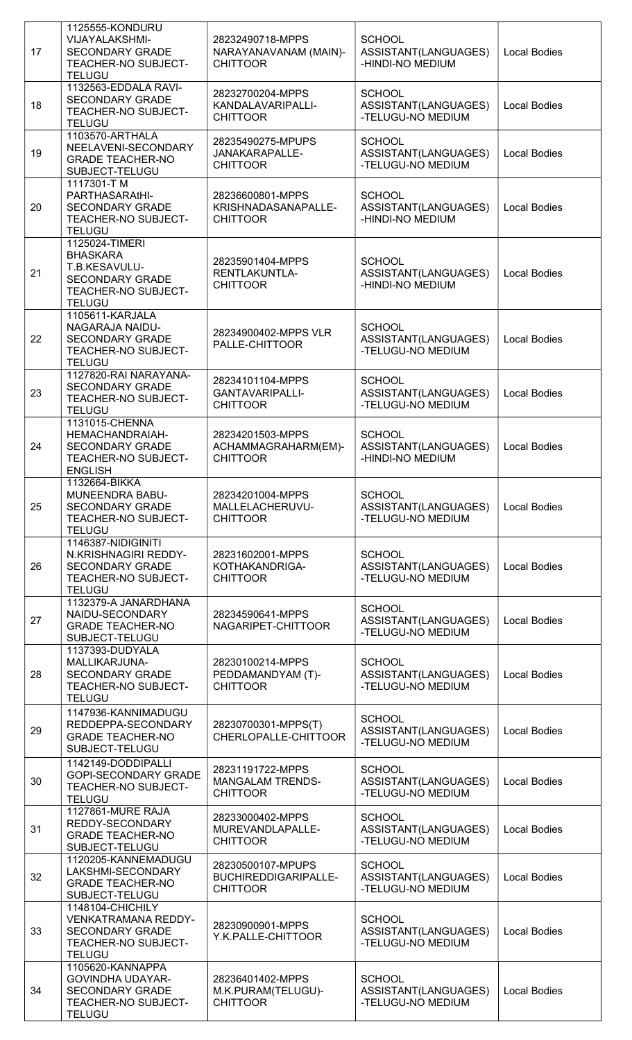| 17 | 1125555-KONDURU<br><b>VIJAYALAKSHMI-</b><br><b>SECONDARY GRADE</b><br>TEACHER-NO SUBJECT-<br><b>TELUGU</b>                  | 28232490718-MPPS<br>NARAYANAVANAM (MAIN)-<br><b>CHITTOOR</b>   | <b>SCHOOL</b><br>ASSISTANT(LANGUAGES)<br>-HINDI-NO MEDIUM  | <b>Local Bodies</b> |
|----|-----------------------------------------------------------------------------------------------------------------------------|----------------------------------------------------------------|------------------------------------------------------------|---------------------|
| 18 | 1132563-EDDALA RAVI-<br><b>SECONDARY GRADE</b><br>TEACHER-NO SUBJECT-<br><b>TELUGU</b>                                      | 28232700204-MPPS<br>KANDALAVARIPALLI-<br><b>CHITTOOR</b>       | <b>SCHOOL</b><br>ASSISTANT(LANGUAGES)<br>-TELUGU-NO MEDIUM | <b>Local Bodies</b> |
| 19 | 1103570-ARTHALA<br>NEELAVENI-SECONDARY<br><b>GRADE TEACHER-NO</b><br>SUBJECT-TELUGU                                         | 28235490275-MPUPS<br>JANAKARAPALLE-<br><b>CHITTOOR</b>         | <b>SCHOOL</b><br>ASSISTANT(LANGUAGES)<br>-TELUGU-NO MEDIUM | <b>Local Bodies</b> |
| 20 | 1117301-TM<br>PARTHASARAtHI-<br><b>SECONDARY GRADE</b><br><b>TEACHER-NO SUBJECT-</b><br><b>TELUGU</b>                       | 28236600801-MPPS<br>KRISHNADASANAPALLE-<br><b>CHITTOOR</b>     | <b>SCHOOL</b><br>ASSISTANT(LANGUAGES)<br>-HINDI-NO MEDIUM  | <b>Local Bodies</b> |
| 21 | 1125024-TIMERI<br><b>BHASKARA</b><br>T.B.KESAVULU-<br><b>SECONDARY GRADE</b><br><b>TEACHER-NO SUBJECT-</b><br><b>TELUGU</b> | 28235901404-MPPS<br>RENTLAKUNTLA-<br><b>CHITTOOR</b>           | <b>SCHOOL</b><br>ASSISTANT(LANGUAGES)<br>-HINDI-NO MEDIUM  | <b>Local Bodies</b> |
| 22 | 1105611-KARJALA<br>NAGARAJA NAIDU-<br><b>SECONDARY GRADE</b><br>TEACHER-NO SUBJECT-<br><b>TELUGU</b>                        | 28234900402-MPPS VLR<br>PALLE-CHITTOOR                         | <b>SCHOOL</b><br>ASSISTANT(LANGUAGES)<br>-TELUGU-NO MEDIUM | <b>Local Bodies</b> |
| 23 | 1127820-RAI NARAYANA-<br><b>SECONDARY GRADE</b><br><b>TEACHER-NO SUBJECT-</b><br><b>TELUGU</b>                              | 28234101104-MPPS<br>GANTAVARIPALLI-<br><b>CHITTOOR</b>         | <b>SCHOOL</b><br>ASSISTANT(LANGUAGES)<br>-TELUGU-NO MEDIUM | <b>Local Bodies</b> |
| 24 | 1131015-CHENNA<br>HEMACHANDRAIAH-<br><b>SECONDARY GRADE</b><br><b>TEACHER-NO SUBJECT-</b><br><b>ENGLISH</b>                 | 28234201503-MPPS<br>ACHAMMAGRAHARM(EM)-<br><b>CHITTOOR</b>     | <b>SCHOOL</b><br>ASSISTANT(LANGUAGES)<br>-HINDI-NO MEDIUM  | <b>Local Bodies</b> |
| 25 | 1132664-BIKKA<br>MUNEENDRA BABU-<br><b>SECONDARY GRADE</b><br><b>TEACHER-NO SUBJECT-</b><br><b>TELUGU</b>                   | 28234201004-MPPS<br>MALLELACHERUVU-<br><b>CHITTOOR</b>         | <b>SCHOOL</b><br>ASSISTANT(LANGUAGES)<br>-TELUGU-NO MEDIUM | <b>Local Bodies</b> |
| 26 | 1146387-NIDIGINITI<br>N.KRISHNAGIRI REDDY-<br><b>SECONDARY GRADE</b><br>TEACHER-NO SUBJECT-<br><b>TELUGU</b>                | 28231602001-MPPS<br>KOTHAKANDRIGA-<br><b>CHITTOOR</b>          | <b>SCHOOL</b><br>ASSISTANT(LANGUAGES)<br>-TELUGU-NO MEDIUM | <b>Local Bodies</b> |
| 27 | 1132379-A JANARDHANA<br>NAIDU-SECONDARY<br><b>GRADE TEACHER-NO</b><br>SUBJECT-TELUGU                                        | 28234590641-MPPS<br>NAGARIPET-CHITTOOR                         | <b>SCHOOL</b><br>ASSISTANT(LANGUAGES)<br>-TELUGU-NO MEDIUM | <b>Local Bodies</b> |
| 28 | 1137393-DUDYALA<br>MALLIKARJUNA-<br><b>SECONDARY GRADE</b><br><b>TEACHER-NO SUBJECT-</b><br><b>TELUGU</b>                   | 28230100214-MPPS<br>PEDDAMANDYAM (T)-<br><b>CHITTOOR</b>       | <b>SCHOOL</b><br>ASSISTANT(LANGUAGES)<br>-TELUGU-NO MEDIUM | <b>Local Bodies</b> |
| 29 | 1147936-KANNIMADUGU<br>REDDEPPA-SECONDARY<br><b>GRADE TEACHER-NO</b><br>SUBJECT-TELUGU                                      | 28230700301-MPPS(T)<br>CHERLOPALLE-CHITTOOR                    | <b>SCHOOL</b><br>ASSISTANT(LANGUAGES)<br>-TELUGU-NO MEDIUM | <b>Local Bodies</b> |
| 30 | 1142149-DODDIPALLI<br><b>GOPI-SECONDARY GRADE</b><br><b>TEACHER-NO SUBJECT-</b><br><b>TELUGU</b>                            | 28231191722-MPPS<br><b>MANGALAM TRENDS-</b><br><b>CHITTOOR</b> | <b>SCHOOL</b><br>ASSISTANT(LANGUAGES)<br>-TELUGU-NO MEDIUM | <b>Local Bodies</b> |
| 31 | <b>1127861-MURE RAJA</b><br>REDDY-SECONDARY<br><b>GRADE TEACHER-NO</b><br>SUBJECT-TELUGU                                    | 28233000402-MPPS<br>MUREVANDLAPALLE-<br><b>CHITTOOR</b>        | <b>SCHOOL</b><br>ASSISTANT(LANGUAGES)<br>-TELUGU-NO MEDIUM | <b>Local Bodies</b> |
| 32 | 1120205-KANNEMADUGU<br>LAKSHMI-SECONDARY<br><b>GRADE TEACHER-NO</b><br>SUBJECT-TELUGU                                       | 28230500107-MPUPS<br>BUCHIREDDIGARIPALLE-<br><b>CHITTOOR</b>   | <b>SCHOOL</b><br>ASSISTANT(LANGUAGES)<br>-TELUGU-NO MEDIUM | <b>Local Bodies</b> |
| 33 | 1148104-CHICHILY<br>VENKATRAMANA REDDY-<br><b>SECONDARY GRADE</b><br>TEACHER-NO SUBJECT-<br><b>TELUGU</b>                   | 28230900901-MPPS<br>Y.K.PALLE-CHITTOOR                         | <b>SCHOOL</b><br>ASSISTANT(LANGUAGES)<br>-TELUGU-NO MEDIUM | <b>Local Bodies</b> |
| 34 | 1105620-KANNAPPA<br><b>GOVINDHA UDAYAR-</b><br><b>SECONDARY GRADE</b><br>TEACHER-NO SUBJECT-<br><b>TELUGU</b>               | 28236401402-MPPS<br>M.K.PURAM(TELUGU)-<br><b>CHITTOOR</b>      | <b>SCHOOL</b><br>ASSISTANT(LANGUAGES)<br>-TELUGU-NO MEDIUM | <b>Local Bodies</b> |